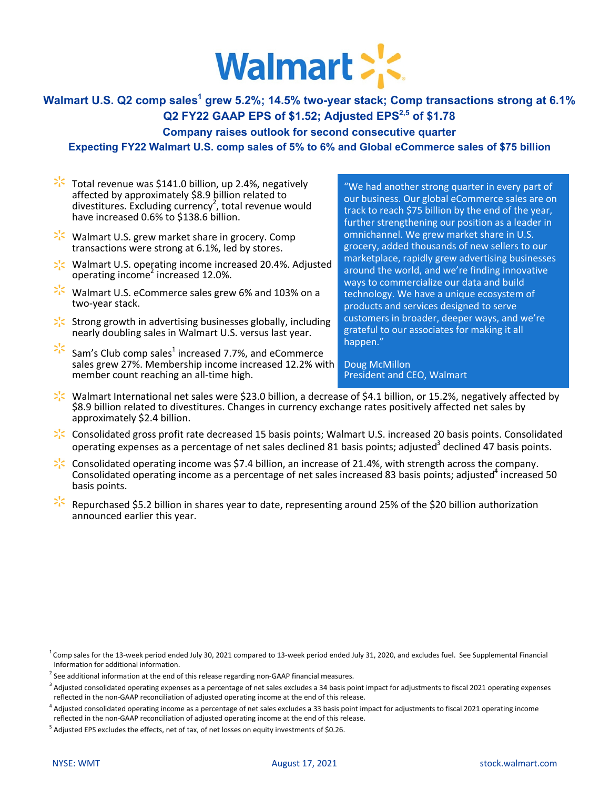

# **Walmart U.S. Q2 comp sales<sup>1</sup> grew 5.2%; 14.5% two-year stack; Comp transactions strong at 6.1% Q2 FY22 GAAP EPS of \$1.52; Adjusted EPS2,5 of \$1.78**

# **Company raises outlook for second consecutive quarter**

**Expecting FY22 Walmart U.S. comp sales of 5% to 6% and Global eCommerce sales of \$75 billion**

- Total revenue was \$141.0 billion, up 2.4%, negatively affected by approximately \$8.9 billion related to divestitures. Excluding currency<sup>2</sup>, total revenue would have increased 0.6% to \$138.6 billion.
- $\frac{1}{2}$  Walmart U.S. grew market share in grocery. Comp transactions were strong at 6.1%, led by stores.
- $\mathcal{L}$  Walmart U.S. operating income increased 20.4%. Adjusted operating income<sup>2</sup> increased 12.0%.
- $\frac{2!}{5}$  Walmart U.S. eCommerce sales grew 6% and 103% on a two-year stack.
- $\sum_{i=1}^{n}$  Strong growth in advertising businesses globally, including nearly doubling sales in Walmart U.S. versus last year.
- ☆ Sam's Club comp sales $^1$  increased 7.7%, and eCommerce sales grew 27%. Membership income increased 12.2% with member count reaching an all-time high.

"We had another strong quarter in every part of our business. Our global eCommerce sales are on track to reach \$75 billion by the end of the year, further strengthening our position as a leader in omnichannel. We grew market share in U.S. grocery, added thousands of new sellers to our marketplace, rapidly grew advertising businesses around the world, and we're finding innovative ways to commercialize our data and build technology. We have a unique ecosystem of products and services designed to serve customers in broader, deeper ways, and we're grateful to our associates for making it all happen." 

Doug McMillon President and CEO, Walmart

- $\frac{1}{6}$  Walmart International net sales were \$23.0 billion, a decrease of \$4.1 billion, or 15.2%, negatively affected by \$8.9 billion related to divestitures. Changes in currency exchange rates positively affected net sales by approximately \$2.4 billion.
- Consolidated gross profit rate decreased 15 basis points; Walmart U.S. increased 20 basis points. Consolidated operating expenses as a percentage of net sales declined 81 basis points; adjusted<sup>3</sup> declined 47 basis points.
- SX Consolidated operating income was \$7.4 billion, an increase of 21.4%, with strength across the company. Consolidated operating income as a percentage of net sales increased 83 basis points; adjusted<sup>4</sup> increased 50 basis points.
- 몽. Repurchased \$5.2 billion in shares year to date, representing around 25% of the \$20 billion authorization announced earlier this year.

 $1$ Comp sales for the 13-week period ended July 30, 2021 compared to 13-week period ended July 31, 2020, and excludes fuel. See Supplemental Financial Information for additional information.

 $^2$  See additional information at the end of this release regarding non-GAAP financial measures.

 $^3$  Adjusted consolidated operating expenses as a percentage of net sales excludes a 34 basis point impact for adjustments to fiscal 2021 operating expenses reflected in the non-GAAP reconciliation of adjusted operating income at the end of this release.

<sup>&</sup>lt;sup>4</sup> Adjusted consolidated operating income as a percentage of net sales excludes a 33 basis point impact for adjustments to fiscal 2021 operating income reflected in the non-GAAP reconciliation of adjusted operating income at the end of this release.

 $^5$  Adjusted EPS excludes the effects, net of tax, of net losses on equity investments of \$0.26.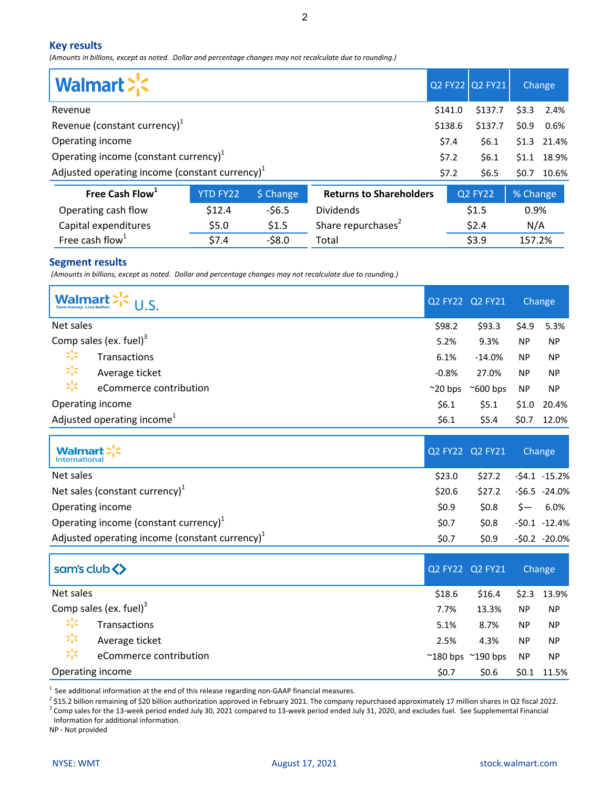### **Key results**

*(Amounts in billions, except as noted. Dollar and percentage changes may not recalculate due to rounding.)* 

| <b>Walmart &gt;'&lt;</b>                          |             | Q2 FY22 Q2 FY21 |       | Change      |
|---------------------------------------------------|-------------|-----------------|-------|-------------|
| Revenue                                           | \$141.0     | \$137.7         |       | $$3.3$ 2.4% |
| Revenue (constant currency) <sup>1</sup>          | \$138.6     | \$137.7         | \$0.9 | 0.6%        |
| Operating income                                  | <b>S7.4</b> | \$6.1           |       | \$1.3 21.4% |
| Operating income (constant currency) $1$          | 57.2        | \$6.1           |       | \$1.1 18.9% |
| Adjusted operating income (constant currency) $1$ | \$7.2       | \$6.5           | \$0.7 | 10.6%       |

2

| Free Cash Flow <sup>1</sup> | <b>YTD FY22</b> | \$ Change | <b>Returns to Shareholders</b> | <b>Q2 FY22</b> | % Change |
|-----------------------------|-----------------|-----------|--------------------------------|----------------|----------|
| Operating cash flow         | \$12.4          | $-56.5$   | <b>Dividends</b>               | S1.5           | 0.9%     |
| Capital expenditures        | \$5.0           | \$1.5     | Share repurchases <sup>2</sup> | \$2.4          | N/A      |
| Free cash flow $1$          | S7.4            | $-58.0$   | Total                          | \$3.9          | 157.2%   |

### **Segment results**

(Amounts in billions, except as noted. Dollar and percentage changes may not recalculate due to rounding.)

| Walmart >'<      | U.S.                                   | Q2 FY22 Q2 FY21  |                  |           | Change    |
|------------------|----------------------------------------|------------------|------------------|-----------|-----------|
| Net sales        |                                        | \$98.2           | \$93.3           | \$4.9     | 5.3%      |
|                  | Comp sales (ex. fuel) $3$              | 5.2%             | 9.3%             | <b>NP</b> | <b>NP</b> |
| >1/2             | Transactions                           | 6.1%             | $-14.0%$         | <b>NP</b> | <b>NP</b> |
| >1/2             | Average ticket                         | $-0.8%$          | 27.0%            | <b>NP</b> | <b>NP</b> |
| >1/2             | eCommerce contribution                 | $^{\sim}$ 20 bps | $^{\sim}600$ bps | <b>NP</b> | <b>NP</b> |
| Operating income |                                        | \$6.1            | \$5.1            | \$1.0     | 20.4%     |
|                  | Adjusted operating income <sup>1</sup> | \$6.1            | \$5.4            | \$0.7     | 12.0%     |

| Walmart $\sum x_i$<br>International                        | Q2 FY22 Q2 FY21 |        | Change          |
|------------------------------------------------------------|-----------------|--------|-----------------|
| Net sales                                                  | \$23.0          | \$27.2 | -\$4.1 -15.2%   |
| Net sales (constant currency) $1$                          | \$20.6          | \$27.2 | $-56.5 -24.0\%$ |
| Operating income                                           | \$0.9           | \$0.8  | 6.0%            |
| Operating income (constant currency) $1$                   | \$0.7           | \$0.8  | $-50.1 - 12.4%$ |
| Adjusted operating income (constant currency) <sup>1</sup> | \$0.7           | \$0.9  | $-50.2 -20.0\%$ |

| sam's club $\langle \rangle$   | Q2 FY22 Q2 FY21 |                                     |           | Change    |
|--------------------------------|-----------------|-------------------------------------|-----------|-----------|
| Net sales                      | \$18.6          | \$16.4                              | \$2.3     | 13.9%     |
| Comp sales (ex. fuel) $3$      | 7.7%            | 13.3%                               | <b>NP</b> | <b>NP</b> |
| >1/2<br>Transactions           | 5.1%            | 8.7%                                | <b>NP</b> | <b>NP</b> |
| $>^1_c<$<br>Average ticket     | 2.5%            | 4.3%                                | <b>NP</b> | <b>NP</b> |
| >1/2<br>eCommerce contribution |                 | $^{\sim}$ 180 bps $^{\sim}$ 190 bps | <b>NP</b> | <b>NP</b> |
| Operating income               | \$0.7           | \$0.6                               | \$0.1     | 11.5%     |

 $<sup>1</sup>$  See additional information at the end of this release regarding non-GAAP financial measures.</sup>

 $^2$  \$15.2 billion remaining of \$20 billion authorization approved in February 2021. The company repurchased approximately 17 million shares in Q2 fiscal 2022.

 $3$  Comp sales for the 13-week period ended July 30, 2021 compared to 13-week period ended July 31, 2020, and excludes fuel. See Supplemental Financial Information for additional information.

NP - Not provided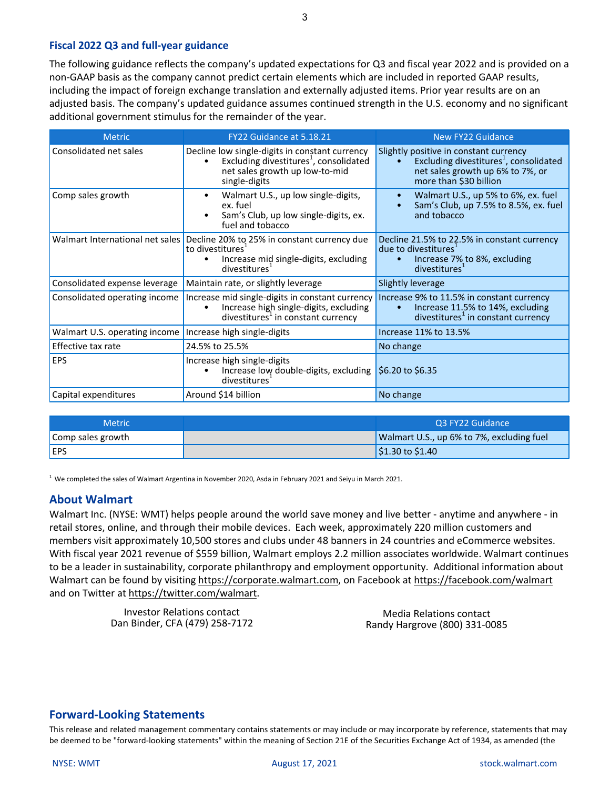### **Fiscal 2022 Q3 and full-year guidance**

The following guidance reflects the company's updated expectations for Q3 and fiscal year 2022 and is provided on a non-GAAP basis as the company cannot predict certain elements which are included in reported GAAP results, including the impact of foreign exchange translation and externally adjusted items. Prior year results are on an adjusted basis. The company's updated guidance assumes continued strength in the U.S. economy and no significant additional government stimulus for the remainder of the year.

| <b>Metric</b>                   | FY22 Guidance at 5.18.21                                                                                                                                       | New FY22 Guidance                                                                                                                                                       |
|---------------------------------|----------------------------------------------------------------------------------------------------------------------------------------------------------------|-------------------------------------------------------------------------------------------------------------------------------------------------------------------------|
| Consolidated net sales          | Decline low single-digits in constant currency<br>Excluding divestitures <sup>1</sup> , consolidated<br>net sales growth up low-to-mid<br>single-digits        | Slightly positive in constant currency<br>Excluding divestitures <sup>1</sup> , consolidated<br>$\bullet$<br>net sales growth up 6% to 7%, or<br>more than \$30 billion |
| Comp sales growth               | Walmart U.S., up low single-digits,<br>٠<br>ex. fuel<br>Sam's Club, up low single-digits, ex.<br>$\bullet$<br>fuel and tobacco                                 | Walmart U.S., up 5% to 6%, ex. fuel<br>$\bullet$<br>Sam's Club, up 7.5% to 8.5%, ex. fuel<br>and tobacco                                                                |
| Walmart International net sales | Decline 20% to 25% in constant currency due<br>to divestitures <sup>1</sup><br>Increase mid single-digits, excluding<br>$\bullet$<br>divestitures <sup>1</sup> | Decline 21.5% to 22.5% in constant currency<br>due to divestitures <sup>1</sup><br>Increase 7% to 8%, excluding<br>$\bullet$<br>divestitures <sup>1</sup>               |
| Consolidated expense leverage   | Maintain rate, or slightly leverage                                                                                                                            | Slightly leverage                                                                                                                                                       |
| Consolidated operating income   | Increase mid single-digits in constant currency<br>Increase high single-digits, excluding<br>divestitures <sup>1</sup> in constant currency                    | Increase 9% to 11.5% in constant currency<br>Increase 11.5% to 14%, excluding<br>divestitures <sup>1</sup> in constant currency                                         |
| Walmart U.S. operating income   | Increase high single-digits                                                                                                                                    | Increase 11% to 13.5%                                                                                                                                                   |
| Effective tax rate              | 24.5% to 25.5%                                                                                                                                                 | No change                                                                                                                                                               |
| <b>EPS</b>                      | Increase high single-digits<br>Increase low double-digits, excluding \$6.20 to \$6.35<br>divestitures <sup>1</sup>                                             |                                                                                                                                                                         |
| Capital expenditures            | Around \$14 billion                                                                                                                                            | No change                                                                                                                                                               |

| <b>Metric</b>     | Q3 FY22 Guidance                          |
|-------------------|-------------------------------------------|
| Comp sales growth | Walmart U.S., up 6% to 7%, excluding fuel |
| <b>LEPS</b>       | $\frac{1}{2}$ \$1.30 to \$1.40            |

 $1$  We completed the sales of Walmart Argentina in November 2020, Asda in February 2021 and Seiyu in March 2021.

# **About Walmart**

Walmart Inc. (NYSE: WMT) helps people around the world save money and live better - anytime and anywhere - in retail stores, online, and through their mobile devices. Each week, approximately 220 million customers and members visit approximately 10,500 stores and clubs under 48 banners in 24 countries and eCommerce websites. With fiscal year 2021 revenue of \$559 billion, Walmart employs 2.2 million associates worldwide. Walmart continues to be a leader in sustainability, corporate philanthropy and employment opportunity. Additional information about Walmart can be found by visiting https://corporate.walmart.com, on Facebook at https://facebook.com/walmart and on Twitter at https://twitter.com/walmart.

> Investor Relations contact Dan Binder, CFA (479) 258-7172

Media Relations contact Randy Hargrove (800) 331-0085

### **Forward-Looking Statements**

This release and related management commentary contains statements or may include or may incorporate by reference, statements that may be deemed to be "forward-looking statements" within the meaning of Section 21E of the Securities Exchange Act of 1934, as amended (the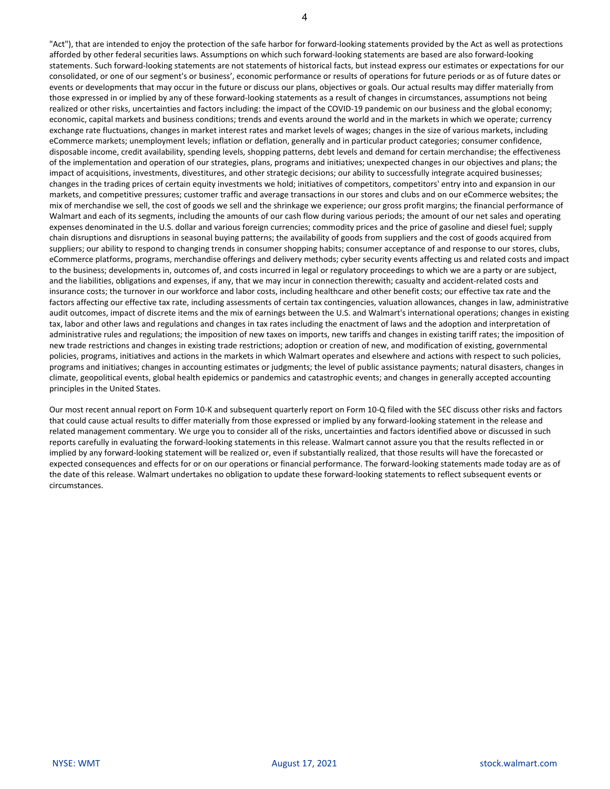"Act"), that are intended to enjoy the protection of the safe harbor for forward-looking statements provided by the Act as well as protections afforded by other federal securities laws. Assumptions on which such forward-looking statements are based are also forward-looking statements. Such forward-looking statements are not statements of historical facts, but instead express our estimates or expectations for our consolidated, or one of our segment's or business', economic performance or results of operations for future periods or as of future dates or events or developments that may occur in the future or discuss our plans, objectives or goals. Our actual results may differ materially from those expressed in or implied by any of these forward-looking statements as a result of changes in circumstances, assumptions not being realized or other risks, uncertainties and factors including: the impact of the COVID-19 pandemic on our business and the global economy; economic, capital markets and business conditions; trends and events around the world and in the markets in which we operate; currency exchange rate fluctuations, changes in market interest rates and market levels of wages; changes in the size of various markets, including eCommerce markets; unemployment levels; inflation or deflation, generally and in particular product categories; consumer confidence, disposable income, credit availability, spending levels, shopping patterns, debt levels and demand for certain merchandise; the effectiveness of the implementation and operation of our strategies, plans, programs and initiatives; unexpected changes in our objectives and plans; the impact of acquisitions, investments, divestitures, and other strategic decisions; our ability to successfully integrate acquired businesses; changes in the trading prices of certain equity investments we hold; initiatives of competitors, competitors' entry into and expansion in our markets, and competitive pressures; customer traffic and average transactions in our stores and clubs and on our eCommerce websites; the mix of merchandise we sell, the cost of goods we sell and the shrinkage we experience; our gross profit margins; the financial performance of Walmart and each of its segments, including the amounts of our cash flow during various periods; the amount of our net sales and operating expenses denominated in the U.S. dollar and various foreign currencies; commodity prices and the price of gasoline and diesel fuel; supply chain disruptions and disruptions in seasonal buying patterns; the availability of goods from suppliers and the cost of goods acquired from suppliers; our ability to respond to changing trends in consumer shopping habits; consumer acceptance of and response to our stores, clubs, eCommerce platforms, programs, merchandise offerings and delivery methods; cyber security events affecting us and related costs and impact to the business; developments in, outcomes of, and costs incurred in legal or regulatory proceedings to which we are a party or are subject, and the liabilities, obligations and expenses, if any, that we may incur in connection therewith; casualty and accident-related costs and insurance costs; the turnover in our workforce and labor costs, including healthcare and other benefit costs; our effective tax rate and the factors affecting our effective tax rate, including assessments of certain tax contingencies, valuation allowances, changes in law, administrative audit outcomes, impact of discrete items and the mix of earnings between the U.S. and Walmart's international operations; changes in existing tax, labor and other laws and regulations and changes in tax rates including the enactment of laws and the adoption and interpretation of administrative rules and regulations; the imposition of new taxes on imports, new tariffs and changes in existing tariff rates; the imposition of new trade restrictions and changes in existing trade restrictions; adoption or creation of new, and modification of existing, governmental policies, programs, initiatives and actions in the markets in which Walmart operates and elsewhere and actions with respect to such policies, programs and initiatives; changes in accounting estimates or judgments; the level of public assistance payments; natural disasters, changes in climate, geopolitical events, global health epidemics or pandemics and catastrophic events; and changes in generally accepted accounting principles in the United States.

Our most recent annual report on Form 10-K and subsequent quarterly report on Form 10-Q filed with the SEC discuss other risks and factors that could cause actual results to differ materially from those expressed or implied by any forward-looking statement in the release and related management commentary. We urge you to consider all of the risks, uncertainties and factors identified above or discussed in such reports carefully in evaluating the forward-looking statements in this release. Walmart cannot assure you that the results reflected in or implied by any forward-looking statement will be realized or, even if substantially realized, that those results will have the forecasted or expected consequences and effects for or on our operations or financial performance. The forward-looking statements made today are as of the date of this release. Walmart undertakes no obligation to update these forward-looking statements to reflect subsequent events or circumstances.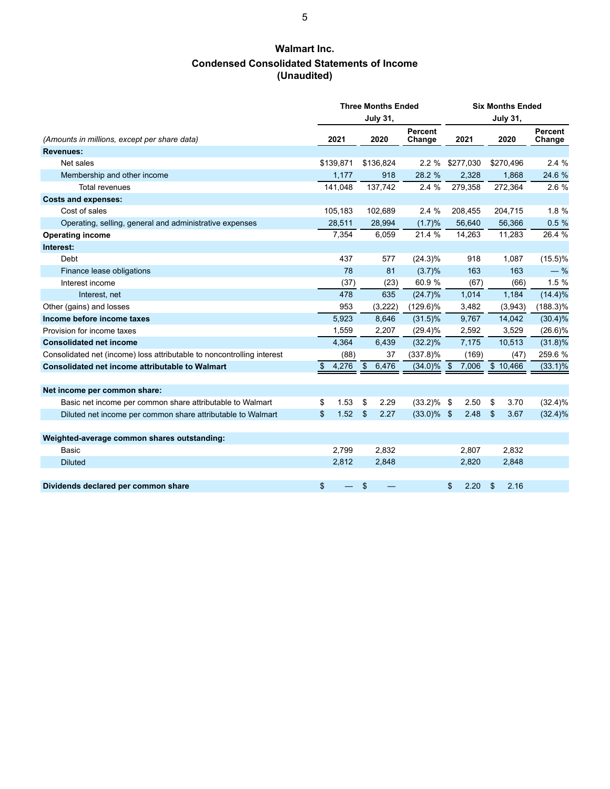# **Walmart Inc. Condensed Consolidated Statements of Income (Unaudited)**

|                                                                        | <b>Three Months Ended</b> |                 |                   | <b>Six Months Ended</b> |                      |                          |
|------------------------------------------------------------------------|---------------------------|-----------------|-------------------|-------------------------|----------------------|--------------------------|
|                                                                        |                           | <b>July 31,</b> |                   |                         | <b>July 31,</b>      |                          |
| (Amounts in millions, except per share data)                           | 2021                      | 2020            | Percent<br>Change | 2021                    | 2020                 | <b>Percent</b><br>Change |
| <b>Revenues:</b>                                                       |                           |                 |                   |                         |                      |                          |
| Net sales                                                              | \$139,871                 | \$136,824       | 2.2%              | \$277,030               | \$270,496            | 2.4%                     |
| Membership and other income                                            | 1,177                     | 918             | 28.2 %            | 2,328                   | 1,868                | 24.6 %                   |
| Total revenues                                                         | 141,048                   | 137,742         | 2.4%              | 279,358                 | 272,364              | 2.6 %                    |
| <b>Costs and expenses:</b>                                             |                           |                 |                   |                         |                      |                          |
| Cost of sales                                                          | 105,183                   | 102,689         | 2.4 %             | 208,455                 | 204,715              | 1.8%                     |
| Operating, selling, general and administrative expenses                | 28,511                    | 28,994          | (1.7)%            | 56,640                  | 56,366               | 0.5%                     |
| <b>Operating income</b>                                                | 7,354                     | 6,059           | 21.4 %            | 14,263                  | 11,283               | 26.4 %                   |
| Interest:                                                              |                           |                 |                   |                         |                      |                          |
| Debt                                                                   | 437                       | 577             | $(24.3)\%$        | 918                     | 1,087                | $(15.5)\%$               |
| Finance lease obligations                                              | 78                        | 81              | $(3.7)\%$         | 163                     | 163                  | $-$ %                    |
| Interest income                                                        | (37)                      | (23)            | 60.9 %            | (67)                    | (66)                 | 1.5%                     |
| Interest, net                                                          | 478                       | 635             | $(24.7)\%$        | 1,014                   | 1,184                | $(14.4)\%$               |
| Other (gains) and losses                                               | 953                       | (3,222)         | $(129.6)\%$       | 3,482                   | (3,943)              | $(188.3)\%$              |
| Income before income taxes                                             | 5,923                     | 8,646           | $(31.5)\%$        | 9,767                   | 14,042               | $(30.4)\%$               |
| Provision for income taxes                                             | 1,559                     | 2,207           | $(29.4)\%$        | 2,592                   | 3,529                | $(26.6)\%$               |
| <b>Consolidated net income</b>                                         | 4,364                     | 6,439           | $(32.2)\%$        | 7,175                   | 10,513               | $(31.8)\%$               |
| Consolidated net (income) loss attributable to noncontrolling interest | (88)                      | 37              | $(337.8)\%$       | (169)                   | (47)                 | 259.6 %                  |
| Consolidated net income attributable to Walmart                        | 4,276                     | \$<br>6,476     | $(34.0)\%$        | \$<br>7,006             | \$10,466             | $(33.1)\%$               |
| Net income per common share:                                           |                           |                 |                   |                         |                      |                          |
| Basic net income per common share attributable to Walmart              | \$<br>1.53                | \$<br>2.29      | $(33.2)\%$ \$     | 2.50                    | \$<br>3.70           | $(32.4)\%$               |
| Diluted net income per common share attributable to Walmart            | 1.52<br>\$                | - \$<br>2.27    | $(33.0)\%$ \$     | 2.48                    | $\mathbf{s}$<br>3.67 | $(32.4)\%$               |
| Weighted-average common shares outstanding:                            |                           |                 |                   |                         |                      |                          |
| Basic                                                                  | 2,799                     | 2,832           |                   | 2,807                   | 2,832                |                          |
| <b>Diluted</b>                                                         | 2,812                     | 2,848           |                   | 2,820                   | 2,848                |                          |
| Dividends declared per common share                                    | \$                        | \$              |                   | \$<br>2.20              | 2.16<br>\$           |                          |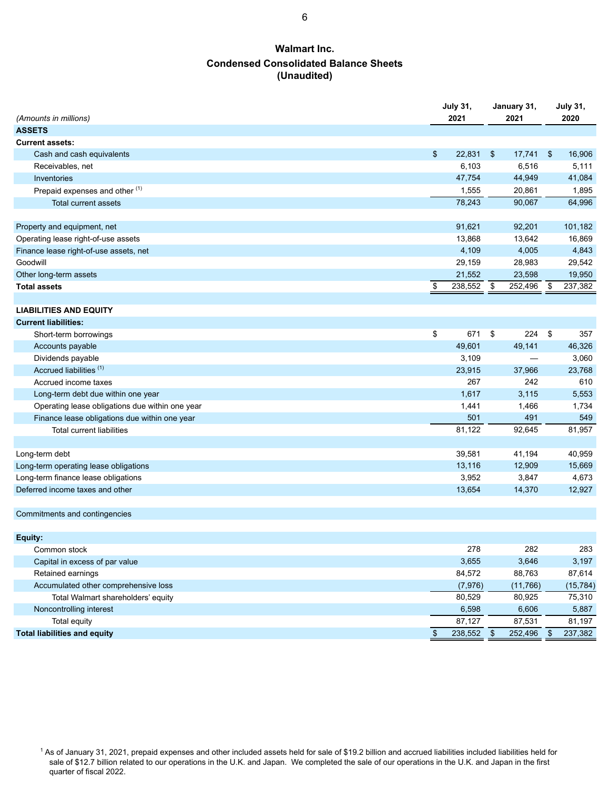# **Walmart Inc. Condensed Consolidated Balance Sheets (Unaudited)**

|                                                 | <b>July 31,</b> |          | January 31,   |           |               | <b>July 31,</b> |
|-------------------------------------------------|-----------------|----------|---------------|-----------|---------------|-----------------|
| (Amounts in millions)                           | 2021            |          | 2021          |           |               | 2020            |
| <b>ASSETS</b>                                   |                 |          |               |           |               |                 |
| <b>Current assets:</b>                          |                 |          |               |           |               |                 |
| Cash and cash equivalents                       | \$              | 22,831   | $\sqrt[6]{3}$ | 17,741    | \$            | 16,906          |
| Receivables, net                                |                 | 6,103    |               | 6,516     |               | 5,111           |
| Inventories                                     |                 | 47,754   |               | 44,949    |               | 41,084          |
| Prepaid expenses and other (1)                  |                 | 1,555    |               | 20,861    |               | 1,895           |
| <b>Total current assets</b>                     |                 | 78,243   |               | 90,067    |               | 64,996          |
|                                                 |                 |          |               |           |               |                 |
| Property and equipment, net                     |                 | 91,621   |               | 92,201    |               | 101,182         |
| Operating lease right-of-use assets             |                 | 13,868   |               | 13,642    |               | 16,869          |
| Finance lease right-of-use assets, net          |                 | 4,109    |               | 4,005     |               | 4,843           |
| Goodwill                                        |                 | 29,159   |               | 28,983    |               | 29,542          |
| Other long-term assets                          |                 | 21,552   |               | 23,598    |               | 19,950          |
| Total assets                                    | \$              | 238,552  | \$            | 252,496   | \$            | 237,382         |
|                                                 |                 |          |               |           |               |                 |
| <b>LIABILITIES AND EQUITY</b>                   |                 |          |               |           |               |                 |
| <b>Current liabilities:</b>                     |                 |          |               |           |               |                 |
| Short-term borrowings                           | \$              | 671      | \$            | 224       | \$            | 357             |
| Accounts payable                                |                 | 49,601   |               | 49,141    |               | 46,326          |
| Dividends payable                               |                 | 3,109    |               |           |               | 3,060           |
| Accrued liabilities <sup>(1)</sup>              |                 | 23,915   |               | 37,966    |               | 23,768          |
| Accrued income taxes                            |                 | 267      |               | 242       |               | 610             |
| Long-term debt due within one year              |                 | 1,617    |               | 3,115     |               | 5,553           |
| Operating lease obligations due within one year |                 | 1,441    |               | 1,466     |               | 1,734           |
| Finance lease obligations due within one year   |                 | 501      |               | 491       |               | 549             |
| <b>Total current liabilities</b>                |                 | 81,122   |               | 92,645    |               | 81,957          |
|                                                 |                 |          |               |           |               |                 |
| Long-term debt                                  |                 | 39,581   |               | 41,194    |               | 40,959          |
| Long-term operating lease obligations           |                 | 13,116   |               | 12,909    |               | 15,669          |
| Long-term finance lease obligations             |                 | 3,952    |               | 3,847     |               | 4,673           |
| Deferred income taxes and other                 |                 | 13,654   |               | 14,370    |               | 12,927          |
|                                                 |                 |          |               |           |               |                 |
| Commitments and contingencies                   |                 |          |               |           |               |                 |
|                                                 |                 |          |               |           |               |                 |
| Equity:                                         |                 |          |               |           |               |                 |
| Common stock                                    |                 | 278      |               | 282       |               | 283             |
| Capital in excess of par value                  |                 | 3,655    |               | 3,646     |               | 3,197           |
| Retained earnings                               |                 | 84,572   |               | 88,763    |               | 87,614          |
| Accumulated other comprehensive loss            |                 | (7, 976) |               | (11, 766) |               | (15, 784)       |
| Total Walmart shareholders' equity              |                 | 80,529   |               | 80,925    |               | 75,310          |
| Noncontrolling interest                         |                 | 6,598    |               | 6,606     |               | 5,887           |
| Total equity                                    |                 | 87,127   |               | 87,531    |               | 81,197          |
| <b>Total liabilities and equity</b>             | $\frac{3}{2}$   | 238,552  | $\sqrt{3}$    | 252,496   | $\frac{1}{2}$ | 237,382         |
|                                                 |                 |          |               |           |               |                 |

 $^1$  As of January 31, 2021, prepaid expenses and other included assets held for sale of \$19.2 billion and accrued liabilities included liabilities held for sale of \$12.7 billion related to our operations in the U.K. and Japan. We completed the sale of our operations in the U.K. and Japan in the first quarter of fiscal 2022.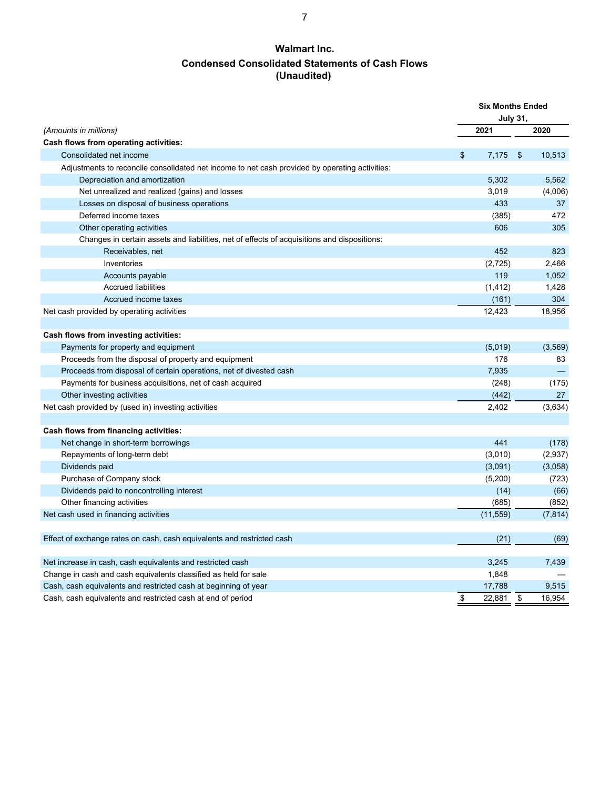# **Walmart Inc. Condensed Consolidated Statements of Cash Flows (Unaudited)**

|                                                                                                | <b>Six Months Ended</b> |                 |      |          |  |
|------------------------------------------------------------------------------------------------|-------------------------|-----------------|------|----------|--|
|                                                                                                |                         | <b>July 31,</b> |      |          |  |
| (Amounts in millions)                                                                          |                         | 2021            |      | 2020     |  |
| Cash flows from operating activities:                                                          |                         |                 |      |          |  |
| Consolidated net income                                                                        | \$                      | 7,175           | - \$ | 10,513   |  |
| Adjustments to reconcile consolidated net income to net cash provided by operating activities: |                         |                 |      |          |  |
| Depreciation and amortization                                                                  |                         | 5.302           |      | 5,562    |  |
| Net unrealized and realized (gains) and losses                                                 |                         | 3,019           |      | (4,006)  |  |
| Losses on disposal of business operations                                                      |                         | 433             |      | 37       |  |
| Deferred income taxes                                                                          |                         | (385)           |      | 472      |  |
| Other operating activities                                                                     |                         | 606             |      | 305      |  |
| Changes in certain assets and liabilities, net of effects of acquisitions and dispositions:    |                         |                 |      |          |  |
| Receivables, net                                                                               |                         | 452             |      | 823      |  |
| Inventories                                                                                    |                         | (2, 725)        |      | 2,466    |  |
| Accounts payable                                                                               |                         | 119             |      | 1,052    |  |
| <b>Accrued liabilities</b>                                                                     |                         | (1, 412)        |      | 1,428    |  |
| Accrued income taxes                                                                           |                         | (161)           |      | 304      |  |
| Net cash provided by operating activities                                                      |                         | 12,423          |      | 18,956   |  |
|                                                                                                |                         |                 |      |          |  |
| Cash flows from investing activities:                                                          |                         |                 |      |          |  |
| Payments for property and equipment                                                            |                         | (5,019)         |      | (3, 569) |  |
| Proceeds from the disposal of property and equipment                                           |                         | 176             |      | 83       |  |
| Proceeds from disposal of certain operations, net of divested cash                             |                         | 7,935           |      |          |  |
| Payments for business acquisitions, net of cash acquired                                       |                         | (248)           |      | (175)    |  |
| Other investing activities                                                                     |                         | (442)           |      | 27       |  |
| Net cash provided by (used in) investing activities                                            |                         | 2,402           |      | (3,634)  |  |
|                                                                                                |                         |                 |      |          |  |
| Cash flows from financing activities:                                                          |                         |                 |      |          |  |
| Net change in short-term borrowings                                                            |                         | 441             |      | (178)    |  |
| Repayments of long-term debt                                                                   |                         | (3,010)         |      | (2,937)  |  |
| Dividends paid                                                                                 |                         | (3,091)         |      | (3,058)  |  |
| Purchase of Company stock                                                                      |                         | (5,200)         |      | (723)    |  |
| Dividends paid to noncontrolling interest                                                      |                         | (14)            |      | (66)     |  |
| Other financing activities                                                                     |                         | (685)           |      | (852)    |  |
| Net cash used in financing activities                                                          |                         | (11, 559)       |      | (7, 814) |  |
|                                                                                                |                         |                 |      |          |  |
| Effect of exchange rates on cash, cash equivalents and restricted cash                         |                         | (21)            |      | (69)     |  |
|                                                                                                |                         |                 |      |          |  |
| Net increase in cash, cash equivalents and restricted cash                                     |                         | 3,245           |      | 7,439    |  |
| Change in cash and cash equivalents classified as held for sale                                |                         | 1,848           |      |          |  |
| Cash, cash equivalents and restricted cash at beginning of year                                |                         | 17,788          |      | 9,515    |  |
| Cash, cash equivalents and restricted cash at end of period                                    | \$                      | 22,881          | \$   | 16,954   |  |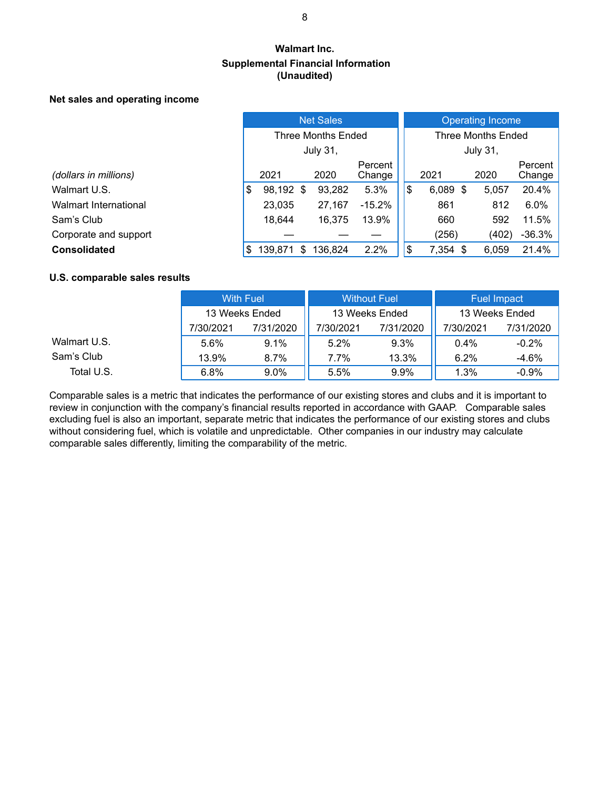# **Walmart Inc. Supplemental Financial Information (Unaudited)**

### **Net sales and operating income**

|                       | <b>Net Sales</b> |         |   |                           | <b>Operating Income</b> |                    |            |                 |       |                   |
|-----------------------|------------------|---------|---|---------------------------|-------------------------|--------------------|------------|-----------------|-------|-------------------|
|                       |                  |         |   | <b>Three Months Ended</b> |                         | Three Months Ended |            |                 |       |                   |
|                       | <b>July 31,</b>  |         |   |                           |                         |                    |            | <b>July 31,</b> |       |                   |
| (dollars in millions) |                  | 2021    |   | 2020                      | Percent<br>Change       |                    | 2021       |                 | 2020  | Percent<br>Change |
| Walmart U.S.          | S                | 98,192  | S | 93,282                    | 5.3%                    | \$                 | $6,089$ \$ |                 | 5,057 | 20.4%             |
| Walmart International |                  | 23,035  |   | 27,167                    | $-15.2\%$               |                    | 861        |                 | 812   | 6.0%              |
| Sam's Club            |                  | 18,644  |   | 16,375                    | 13.9%                   |                    | 660        |                 | 592   | 11.5%             |
| Corporate and support |                  |         |   |                           |                         |                    | (256)      |                 | (402) | $-36.3%$          |
| <b>Consolidated</b>   | \$               | 139,871 | S | 136,824                   | 2.2%                    | \$                 | 7,354 \$   |                 | 6,059 | 21.4%             |

#### **U.S. comparable sales results**

|              |                | <b>With Fuel</b> |           | <b>Without Fuel</b> | Fuel Impact    |           |  |  |
|--------------|----------------|------------------|-----------|---------------------|----------------|-----------|--|--|
|              | 13 Weeks Ended |                  |           | 13 Weeks Ended      | 13 Weeks Ended |           |  |  |
|              | 7/30/2021      | 7/31/2020        | 7/30/2021 | 7/31/2020           | 7/30/2021      | 7/31/2020 |  |  |
| Walmart U.S. | 5.6%           | 9.1%             | 5.2%      | 9.3%                | 0.4%           | $-0.2%$   |  |  |
| Sam's Club   | 13.9%          | 8.7%             | $7.7\%$   | 13.3%               | 6.2%           | $-4.6%$   |  |  |
| Total U.S.   | 6.8%           | $9.0\%$          | 5.5%      | 9.9%                | 1.3%           | $-0.9\%$  |  |  |

Comparable sales is a metric that indicates the performance of our existing stores and clubs and it is important to review in conjunction with the company's financial results reported in accordance with GAAP. Comparable sales excluding fuel is also an important, separate metric that indicates the performance of our existing stores and clubs without considering fuel, which is volatile and unpredictable. Other companies in our industry may calculate comparable sales differently, limiting the comparability of the metric.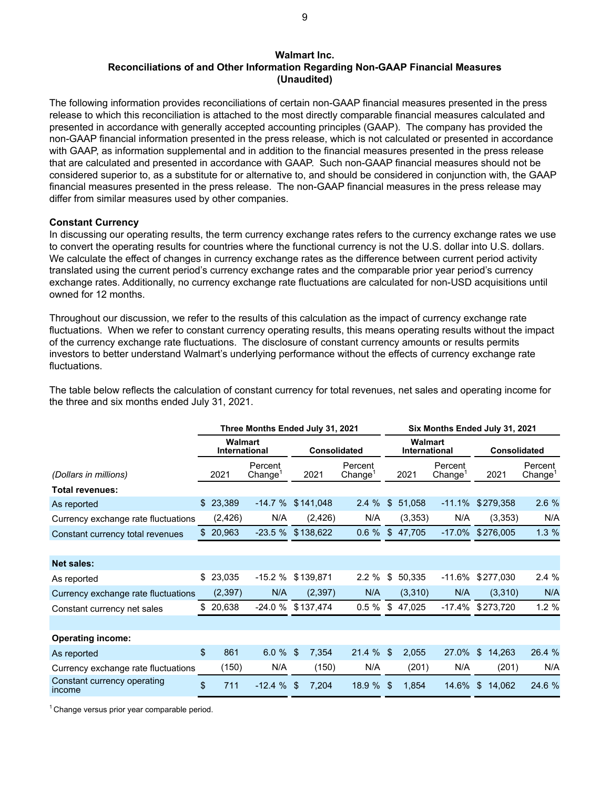#### **Walmart Inc. Reconciliations of and Other Information Regarding Non-GAAP Financial Measures (Unaudited)**

The following information provides reconciliations of certain non-GAAP financial measures presented in the press release to which this reconciliation is attached to the most directly comparable financial measures calculated and presented in accordance with generally accepted accounting principles (GAAP). The company has provided the non-GAAP financial information presented in the press release, which is not calculated or presented in accordance with GAAP, as information supplemental and in addition to the financial measures presented in the press release that are calculated and presented in accordance with GAAP. Such non-GAAP financial measures should not be considered superior to, as a substitute for or alternative to, and should be considered in conjunction with, the GAAP financial measures presented in the press release. The non-GAAP financial measures in the press release may differ from similar measures used by other companies.

### **Constant Currency**

In discussing our operating results, the term currency exchange rates refers to the currency exchange rates we use to convert the operating results for countries where the functional currency is not the U.S. dollar into U.S. dollars. We calculate the effect of changes in currency exchange rates as the difference between current period activity translated using the current period's currency exchange rates and the comparable prior year period's currency exchange rates. Additionally, no currency exchange rate fluctuations are calculated for non-USD acquisitions until owned for 12 months.

Throughout our discussion, we refer to the results of this calculation as the impact of currency exchange rate fluctuations. When we refer to constant currency operating results, this means operating results without the impact of the currency exchange rate fluctuations. The disclosure of constant currency amounts or results permits investors to better understand Walmart's underlying performance without the effects of currency exchange rate fluctuations.

The table below reflects the calculation of constant currency for total revenues, net sales and operating income for the three and six months ended July 31, 2021.

|                                       |                                 |                                |          | Three Months Ended July 31, 2021 |                                |                |                          |                                |           |              | Six Months Ended July 31, 2021 |                                |
|---------------------------------------|---------------------------------|--------------------------------|----------|----------------------------------|--------------------------------|----------------|--------------------------|--------------------------------|-----------|--------------|--------------------------------|--------------------------------|
|                                       | Walmart<br><b>International</b> |                                |          | Consolidated                     |                                |                | Walmart<br>International |                                |           |              | Consolidated                   |                                |
| (Dollars in millions)                 | 2021                            | Percent<br>Change <sup>1</sup> |          | 2021                             | Percent<br>Change <sup>1</sup> |                | 2021                     | Percent<br>Change <sup>1</sup> |           |              | 2021                           | Percent<br>Change <sup>1</sup> |
| <b>Total revenues:</b>                |                                 |                                |          |                                  |                                |                |                          |                                |           |              |                                |                                |
| As reported                           | \$<br>23,389                    |                                | $-14.7%$ | \$141,048                        | 2.4%                           | \$             | 51,058                   |                                | $-11.1%$  |              | \$279,358                      | 2.6%                           |
| Currency exchange rate fluctuations   | (2, 426)                        |                                | N/A      | (2, 426)                         | N/A                            |                | (3,353)                  |                                | N/A       |              | (3,353)                        | N/A                            |
| Constant currency total revenues      | \$<br>20,963                    |                                | $-23.5%$ | \$138,622                        | $0.6 \%$                       | $\mathfrak{L}$ | 47,705                   |                                | $-17.0\%$ |              | \$276,005                      | 1.3%                           |
|                                       |                                 |                                |          |                                  |                                |                |                          |                                |           |              |                                |                                |
| <b>Net sales:</b>                     |                                 |                                |          |                                  |                                |                |                          |                                |           |              |                                |                                |
| As reported                           | \$<br>23,035                    |                                | $-15.2%$ | \$139,871                        | 2.2%                           | \$             | 50,335                   |                                | $-11.6%$  |              | \$277,030                      | 2.4%                           |
| Currency exchange rate fluctuations   | (2, 397)                        |                                | N/A      | (2, 397)                         | N/A                            |                | (3,310)                  |                                | N/A       |              | (3,310)                        | N/A                            |
| Constant currency net sales           | \$<br>20,638                    |                                | $-24.0%$ | \$137,474                        | $0.5 \%$                       | \$             | 47,025                   |                                | -17.4%    |              | \$273,720                      | 1.2%                           |
|                                       |                                 |                                |          |                                  |                                |                |                          |                                |           |              |                                |                                |
| <b>Operating income:</b>              |                                 |                                |          |                                  |                                |                |                          |                                |           |              |                                |                                |
| As reported                           | \$<br>861                       |                                | 6.0%     | \$<br>7,354                      | $21.4 \%$ \$                   |                | 2,055                    |                                | 27.0%     | $\mathbb{S}$ | 14.263                         | 26.4 %                         |
| Currency exchange rate fluctuations   | (150)                           |                                | N/A      | (150)                            | N/A                            |                | (201)                    |                                | N/A       |              | (201)                          | N/A                            |
| Constant currency operating<br>income | \$<br>711                       |                                | $-12.4%$ | \$<br>7,204                      | 18.9 %                         | - \$           | 1,854                    |                                | 14.6%     | \$           | 14,062                         | 24.6 %                         |

 $1$ Change versus prior year comparable period.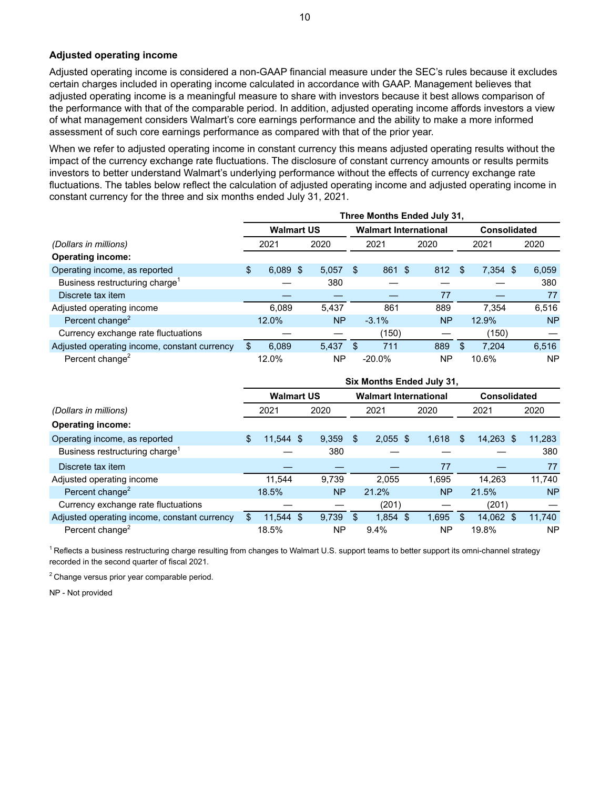#### **Adjusted operating income**

Adjusted operating income is considered a non-GAAP financial measure under the SEC's rules because it excludes certain charges included in operating income calculated in accordance with GAAP. Management believes that adjusted operating income is a meaningful measure to share with investors because it best allows comparison of the performance with that of the comparable period. In addition, adjusted operating income affords investors a view of what management considers Walmart's core earnings performance and the ability to make a more informed assessment of such core earnings performance as compared with that of the prior year.

When we refer to adjusted operating income in constant currency this means adjusted operating results without the impact of the currency exchange rate fluctuations. The disclosure of constant currency amounts or results permits investors to better understand Walmart's underlying performance without the effects of currency exchange rate fluctuations. The tables below reflect the calculation of adjusted operating income and adjusted operating income in constant currency for the three and six months ended July 31, 2021.

|                                              |   |                   |           |      |                              | Three Months Ended July 31, |     |              |           |
|----------------------------------------------|---|-------------------|-----------|------|------------------------------|-----------------------------|-----|--------------|-----------|
|                                              |   | <b>Walmart US</b> |           |      | <b>Walmart International</b> |                             |     | Consolidated |           |
| (Dollars in millions)                        |   | 2021              | 2020      |      | 2021                         | 2020                        |     | 2021         | 2020      |
| <b>Operating income:</b>                     |   |                   |           |      |                              |                             |     |              |           |
| Operating income, as reported                | S | $6,089$ \$        | 5,057     | - \$ | 861 \$                       | 812                         | \$  | $7,354$ \$   | 6,059     |
| Business restructuring charge <sup>1</sup>   |   |                   | 380       |      |                              |                             |     |              | 380       |
| Discrete tax item                            |   |                   |           |      |                              | 77                          |     |              | 77        |
| Adjusted operating income                    |   | 6.089             | 5.437     |      | 861                          | 889                         |     | 7.354        | 6,516     |
| Percent change <sup>2</sup>                  |   | 12.0%             | <b>NP</b> |      | $-3.1\%$                     | <b>NP</b>                   |     | 12.9%        | <b>NP</b> |
| Currency exchange rate fluctuations          |   |                   |           |      | (150)                        |                             |     | (150)        |           |
| Adjusted operating income, constant currency |   | 6,089             | 5,437     | -S   | 711                          | 889                         | \$. | 7.204        | 6,516     |
| Percent change <sup>2</sup>                  |   | 12.0%             | <b>NP</b> |      | $-20.0%$                     | <b>NP</b>                   |     | 10.6%        | <b>NP</b> |

|                                              |                   |           |     |                              | Six Months Ended July 31, |   |                     |           |
|----------------------------------------------|-------------------|-----------|-----|------------------------------|---------------------------|---|---------------------|-----------|
|                                              | <b>Walmart US</b> |           |     | <b>Walmart International</b> |                           |   | <b>Consolidated</b> |           |
| (Dollars in millions)                        | 2021              | 2020      |     | 2021                         | 2020                      |   | 2021                | 2020      |
| <b>Operating income:</b>                     |                   |           |     |                              |                           |   |                     |           |
| Operating income, as reported                | \$<br>$11.544$ \$ | 9,359     | -S  | $2,055$ \$                   | 1,618                     | S | $14,263$ \$         | 11,283    |
| Business restructuring charge <sup>1</sup>   |                   | 380       |     |                              |                           |   |                     | 380       |
| Discrete tax item                            |                   |           |     |                              | 77                        |   |                     | 77        |
| Adjusted operating income                    | 11.544            | 9.739     |     | 2.055                        | 1.695                     |   | 14.263              | 11.740    |
| Percent change <sup>2</sup>                  | 18.5%             | <b>NP</b> |     | 21.2%                        | <b>NP</b>                 |   | 21.5%               | <b>NP</b> |
| Currency exchange rate fluctuations          |                   |           |     | (201)                        |                           |   | (201)               |           |
| Adjusted operating income, constant currency | $11,544$ \$       | 9,739     | \$. | $1,854$ \$                   | 1,695                     |   | 14.062 \$           | 11,740    |
| Percent change <sup>2</sup>                  | 18.5%             | NΡ        |     | 9.4%                         | <b>NP</b>                 |   | 19.8%               | <b>NP</b> |

<sup>1</sup> Reflects a business restructuring charge resulting from changes to Walmart U.S. support teams to better support its omni-channel strategy recorded in the second quarter of fiscal 2021.

 $2$  Change versus prior year comparable period.

NP - Not provided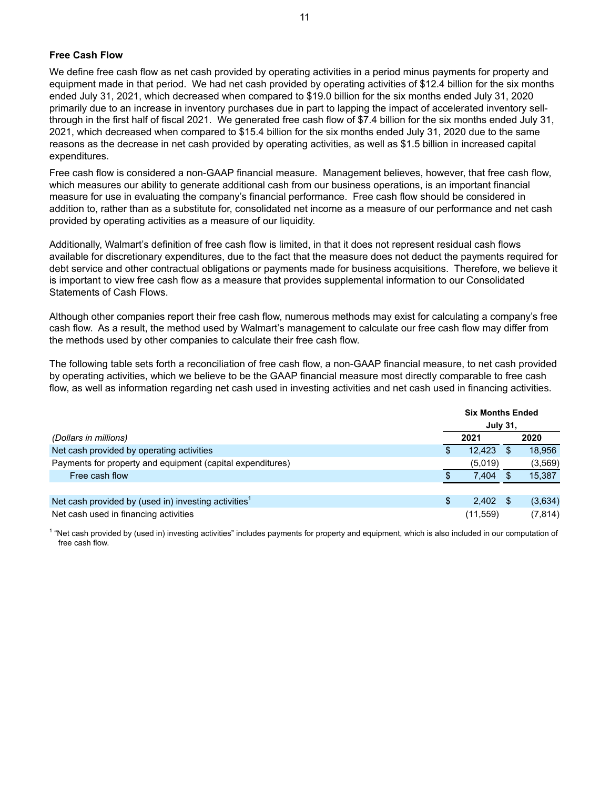### **Free Cash Flow**

We define free cash flow as net cash provided by operating activities in a period minus payments for property and equipment made in that period. We had net cash provided by operating activities of \$12.4 billion for the six months ended July 31, 2021, which decreased when compared to \$19.0 billion for the six months ended July 31, 2020 primarily due to an increase in inventory purchases due in part to lapping the impact of accelerated inventory sellthrough in the first half of fiscal 2021. We generated free cash flow of \$7.4 billion for the six months ended July 31, 2021, which decreased when compared to \$15.4 billion for the six months ended July 31, 2020 due to the same reasons as the decrease in net cash provided by operating activities, as well as \$1.5 billion in increased capital expenditures.

Free cash flow is considered a non-GAAP financial measure. Management believes, however, that free cash flow, which measures our ability to generate additional cash from our business operations, is an important financial measure for use in evaluating the company's financial performance. Free cash flow should be considered in addition to, rather than as a substitute for, consolidated net income as a measure of our performance and net cash provided by operating activities as a measure of our liquidity.

Additionally, Walmart's definition of free cash flow is limited, in that it does not represent residual cash flows available for discretionary expenditures, due to the fact that the measure does not deduct the payments required for debt service and other contractual obligations or payments made for business acquisitions. Therefore, we believe it is important to view free cash flow as a measure that provides supplemental information to our Consolidated Statements of Cash Flows.

Although other companies report their free cash flow, numerous methods may exist for calculating a company's free cash flow. As a result, the method used by Walmart's management to calculate our free cash flow may differ from the methods used by other companies to calculate their free cash flow.

The following table sets forth a reconciliation of free cash flow, a non-GAAP financial measure, to net cash provided by operating activities, which we believe to be the GAAP financial measure most directly comparable to free cash flow, as well as information regarding net cash used in investing activities and net cash used in financing activities.

|                                                                  | <b>Six Months Ended</b> |              |
|------------------------------------------------------------------|-------------------------|--------------|
|                                                                  | <b>July 31.</b>         |              |
| (Dollars in millions)                                            | 2021                    | 2020         |
| Net cash provided by operating activities                        | \$<br>12,423            | \$<br>18,956 |
| Payments for property and equipment (capital expenditures)       | (5,019)                 | (3, 569)     |
| Free cash flow                                                   | 7.404                   | 15,387       |
|                                                                  |                         |              |
| Net cash provided by (used in) investing activities <sup>1</sup> | \$<br>2.402             | (3,634)      |
| Net cash used in financing activities                            | (11, 559)               | (7, 814)     |

<sup>1</sup> "Net cash provided by (used in) investing activities" includes payments for property and equipment, which is also included in our computation of free cash flow.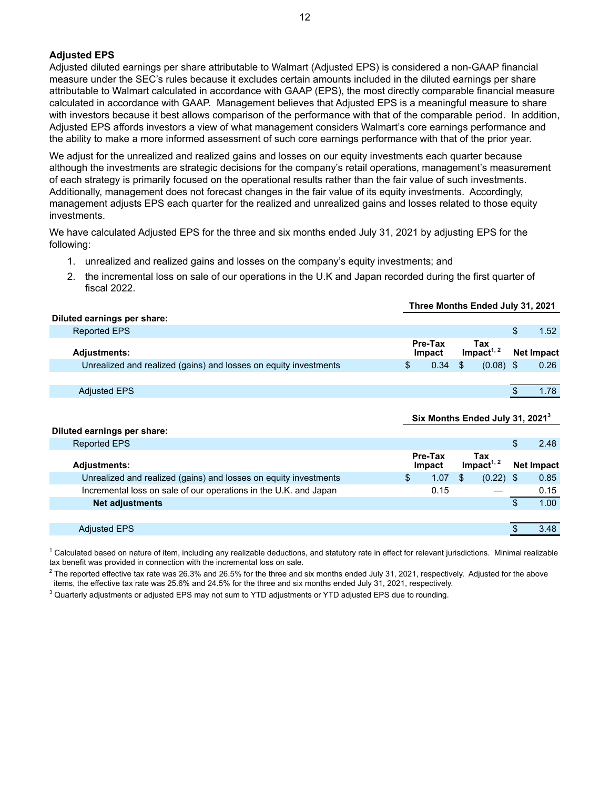#### **Adjusted EPS**

Adjusted diluted earnings per share attributable to Walmart (Adjusted EPS) is considered a non-GAAP financial measure under the SEC's rules because it excludes certain amounts included in the diluted earnings per share attributable to Walmart calculated in accordance with GAAP (EPS), the most directly comparable financial measure calculated in accordance with GAAP. Management believes that Adjusted EPS is a meaningful measure to share with investors because it best allows comparison of the performance with that of the comparable period. In addition, Adjusted EPS affords investors a view of what management considers Walmart's core earnings performance and the ability to make a more informed assessment of such core earnings performance with that of the prior year.

We adjust for the unrealized and realized gains and losses on our equity investments each quarter because although the investments are strategic decisions for the company's retail operations, management's measurement of each strategy is primarily focused on the operational results rather than the fair value of such investments. Additionally, management does not forecast changes in the fair value of its equity investments. Accordingly, management adjusts EPS each quarter for the realized and unrealized gains and losses related to those equity investments.

We have calculated Adjusted EPS for the three and six months ended July 31, 2021 by adjusting EPS for the following:

- 1. unrealized and realized gains and losses on the company's equity investments; and
- 2. the incremental loss on sale of our operations in the U.K and Japan recorded during the first quarter of fiscal 2022.

#### **Three Months Ended July 31, 2021**

#### **Diluted earnings per share:**

| <b>Reported EPS</b>                                              |                   |          |                               | 1.52              |
|------------------------------------------------------------------|-------------------|----------|-------------------------------|-------------------|
| <b>Adjustments:</b>                                              | Pre-Tax<br>Impact |          | Tax<br>Impact <sup>1, 2</sup> | <b>Net Impact</b> |
| Unrealized and realized (gains) and losses on equity investments | 0.34              | <b>S</b> | $(0.08)$ \$                   | 0.26              |
|                                                                  |                   |          |                               |                   |
| <b>Adjusted EPS</b>                                              |                   |          |                               |                   |

#### **Six Months Ended July 31, 2021<sup>3</sup>**

| Diluted earnings per share:                                      |                   |     |                               |    |                   |
|------------------------------------------------------------------|-------------------|-----|-------------------------------|----|-------------------|
| <b>Reported EPS</b>                                              |                   |     |                               | \$ | 2.48              |
| <b>Adjustments:</b>                                              | Pre-Tax<br>Impact |     | Tax<br>Impact <sup>1, 2</sup> |    | <b>Net Impact</b> |
| Unrealized and realized (gains) and losses on equity investments | \$<br>1.07        | \$. | $(0.22)$ \$                   |    | 0.85              |
| Incremental loss on sale of our operations in the U.K. and Japan | 0.15              |     |                               |    | 0.15              |
| <b>Net adjustments</b>                                           |                   |     |                               | D  | 1.00              |
|                                                                  |                   |     |                               |    |                   |
| <b>Adjusted EPS</b>                                              |                   |     |                               |    | 3.48              |
|                                                                  |                   |     |                               |    |                   |

 $1$  Calculated based on nature of item, including any realizable deductions, and statutory rate in effect for relevant jurisdictions. Minimal realizable tax benefit was provided in connection with the incremental loss on sale.

 $2$  The reported effective tax rate was 26.3% and 26.5% for the three and six months ended July 31, 2021, respectively. Adjusted for the above items, the effective tax rate was 25.6% and 24.5% for the three and six months ended July 31, 2021, respectively.

<sup>3</sup> Quarterly adjustments or adjusted EPS may not sum to YTD adjustments or YTD adjusted EPS due to rounding.